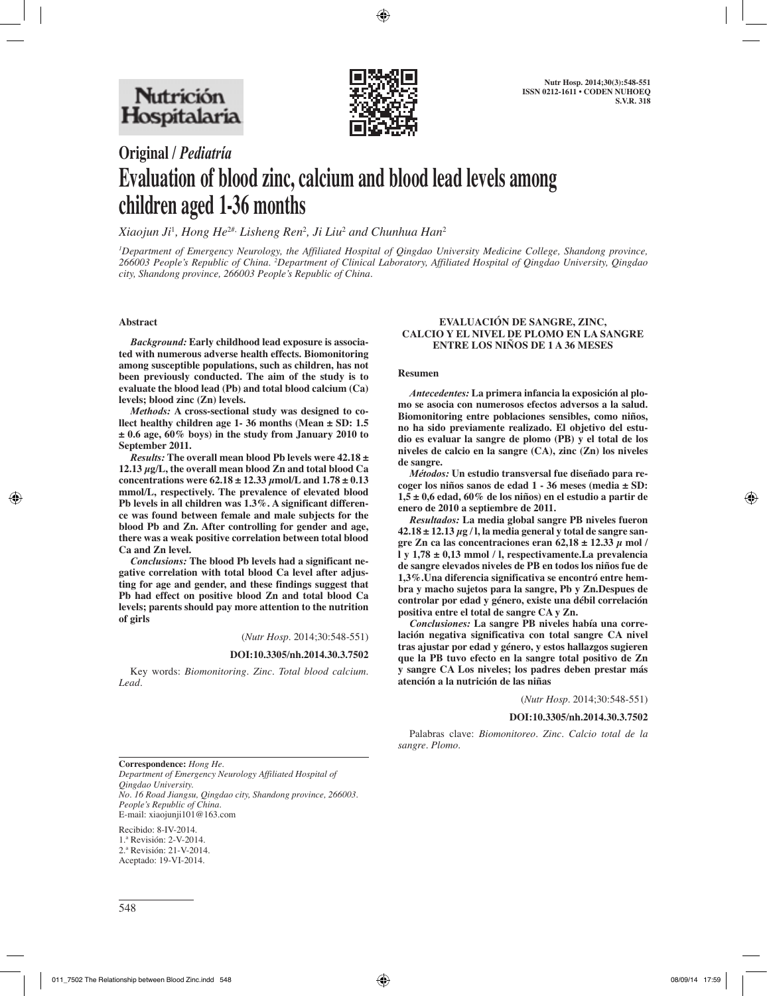

# **Original /** *Pediatría* **Evaluation of blood zinc, calcium and blood lead levels among children aged 1-36 months**

*Xiaojun Ji*<sup>1</sup> *, Hong He*2#, *Lisheng Ren*<sup>2</sup> *, Ji Liu*<sup>2</sup>  *and Chunhua Han*<sup>2</sup>

*1 Department of Emergency Neurology, the Affiliated Hospital of Qingdao University Medicine College, Shandong province, 266003 People's Republic of China. 2 Department of Clinical Laboratory, Affiliated Hospital of Qingdao University, Qingdao city, Shandong province, 266003 People's Republic of China.*

**Abstract**

*Background:* **Early childhood lead exposure is associated with numerous adverse health effects. Biomonitoring among susceptible populations, such as children, has not been previously conducted. The aim of the study is to evaluate the blood lead (Pb) and total blood calcium (Ca) levels; blood zinc (Zn) levels.**

*Methods:* **A cross-sectional study was designed to collect healthy children age 1- 36 months (Mean ± SD: 1.5 ± 0.6 age, 60% boys) in the study from January 2010 to September 2011.**

*Results:* **The overall mean blood Pb levels were 42.18 ± 12.13 μg/L, the overall mean blood Zn and total blood Ca concentrations were 62.18 ± 12.33 μmol/L and 1.78 ± 0.13 mmol/L, respectively. The prevalence of elevated blood Pb levels in all children was 1.3%. A significant difference was found between female and male subjects for the blood Pb and Zn. After controlling for gender and age, there was a weak positive correlation between total blood Ca and Zn level.**

*Conclusions:* **The blood Pb levels had a significant negative correlation with total blood Ca level after adjusting for age and gender, and these findings suggest that Pb had effect on positive blood Zn and total blood Ca levels; parents should pay more attention to the nutrition of girls**

(*Nutr Hosp.* 2014;30:548-551)

#### **DOI:10.3305/nh.2014.30.3.7502**

Key words: *Biomonitoring. Zinc. Total blood calcium. Lead.*

#### **EVALUACIÓN DE SANGRE, ZINC, CALCIO Y EL NIVEL DE PLOMO EN LA SANGRE ENTRE LOS NIÑOS DE 1 A 36 MESES**

#### **Resumen**

*Antecedentes:* **La primera infancia la exposición al plomo se asocia con numerosos efectos adversos a la salud. Biomonitoring entre poblaciones sensibles, como niños, no ha sido previamente realizado. El objetivo del estudio es evaluar la sangre de plomo (PB) y el total de los niveles de calcio en la sangre (CA), zinc (Zn) los niveles de sangre.**

*Métodos:* **Un estudio transversal fue diseñado para recoger los niños sanos de edad 1 - 36 meses (media ± SD: 1,5 ± 0,6 edad, 60% de los niños) en el estudio a partir de enero de 2010 a septiembre de 2011.**

*Resultados:* **La media global sangre PB niveles fueron 42.18 ± 12.13 μg / l, la media general y total de sangre san**gre Zn ca las concentraciones eran  $62,18 \pm 12.33 \mu$  mol / **l y 1,78 ± 0,13 mmol / l, respectivamente.La prevalencia de sangre elevados niveles de PB en todos los niños fue de 1,3%.Una diferencia significativa se encontró entre hembra y macho sujetos para la sangre, Pb y Zn.Despues de controlar por edad y género, existe una débil correlación positiva entre el total de sangre CA y Zn.**

*Conclusiones:* **La sangre PB niveles había una correlación negativa significativa con total sangre CA nivel tras ajustar por edad y género, y estos hallazgos sugieren que la PB tuvo efecto en la sangre total positivo de Zn y sangre CA Los niveles; los padres deben prestar más atención a la nutrición de las niñas**

(*Nutr Hosp.* 2014;30:548-551)

**DOI:10.3305/nh.2014.30.3.7502**

Palabras clave: *Biomonitoreo. Zinc. Calcio total de la sangre. Plomo.*

**Correspondence:** *Hong He. Department of Emergency Neurology Affiliated Hospital of Qingdao University. No. 16 Road Jiangsu, Qingdao city, Shandong province, 266003. People's Republic of China.*  E-mail: xiaojunji101@163.com

Recibido: 8-IV-2014. 1.ª Revisión: 2-V-2014. 2.ª Revisión: 21-V-2014. Aceptado: 19-VI-2014.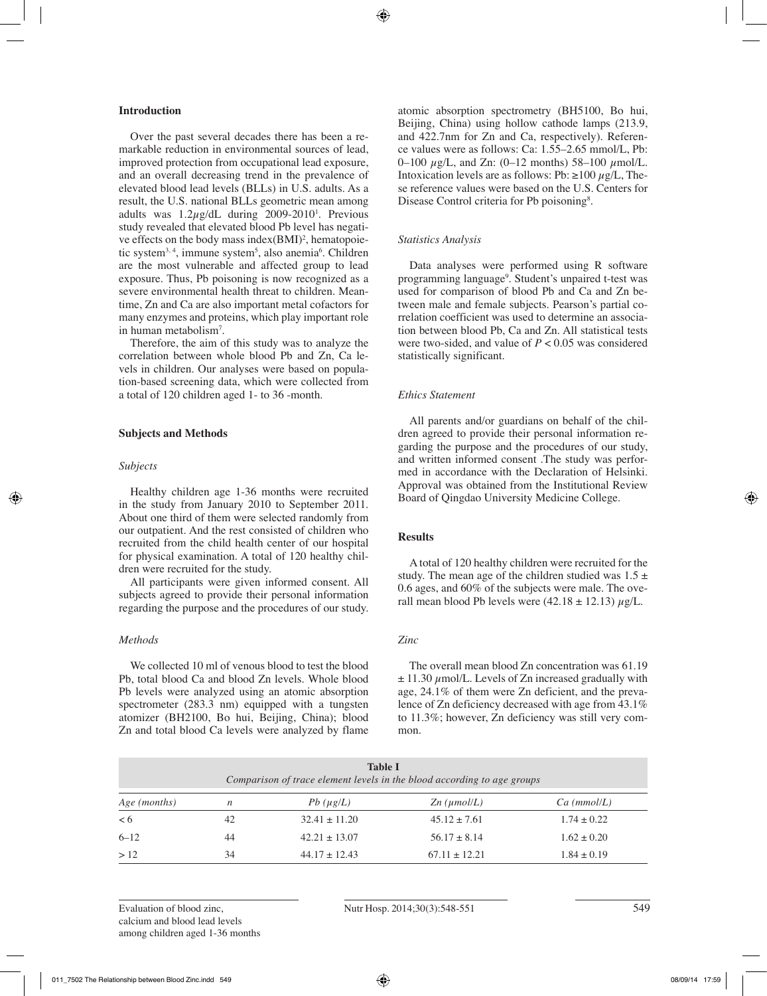# **Introduction**

Over the past several decades there has been a remarkable reduction in environmental sources of lead, improved protection from occupational lead exposure, and an overall decreasing trend in the prevalence of elevated blood lead levels (BLLs) in U.S. adults. As a result, the U.S. national BLLs geometric mean among adults was  $1.2\mu$ g/dL during 2009-2010<sup>1</sup>. Previous study revealed that elevated blood Pb level has negative effects on the body mass index $(BMI)^2$ , hematopoietic system<sup>3, 4</sup>, immune system<sup>5</sup>, also anemia<sup>6</sup>. Children are the most vulnerable and affected group to lead exposure. Thus, Pb poisoning is now recognized as a severe environmental health threat to children. Meantime, Zn and Ca are also important metal cofactors for many enzymes and proteins, which play important role in human metabolism<sup>7</sup>.

Therefore, the aim of this study was to analyze the correlation between whole blood Pb and Zn, Ca levels in children. Our analyses were based on population-based screening data, which were collected from a total of 120 children aged 1- to 36 -month.

## **Subjects and Methods**

## *Subjects*

Healthy children age 1-36 months were recruited in the study from January 2010 to September 2011. About one third of them were selected randomly from our outpatient. And the rest consisted of children who recruited from the child health center of our hospital for physical examination. A total of 120 healthy children were recruited for the study.

All participants were given informed consent. All subjects agreed to provide their personal information regarding the purpose and the procedures of our study.

# *Methods*

We collected 10 ml of venous blood to test the blood Pb, total blood Ca and blood Zn levels. Whole blood Pb levels were analyzed using an atomic absorption spectrometer (283.3 nm) equipped with a tungsten atomizer (BH2100, Bo hui, Beijing, China); blood Zn and total blood Ca levels were analyzed by flame

atomic absorption spectrometry (BH5100, Bo hui, Beijing, China) using hollow cathode lamps (213.9, and 422.7nm for Zn and Ca, respectively). Reference values were as follows: Ca: 1.55–2.65 mmol/L, Pb: 0–100  $\mu$ g/L, and Zn: (0–12 months) 58–100  $\mu$ mol/L. Intoxication levels are as follows: Pb:  $\geq 100 \mu g/L$ , These reference values were based on the U.S. Centers for Disease Control criteria for Pb poisoning<sup>8</sup>.

#### *Statistics Analysis*

Data analyses were performed using R software programming language9 . Student's unpaired t-test was used for comparison of blood Pb and Ca and Zn between male and female subjects. Pearson's partial correlation coefficient was used to determine an association between blood Pb, Ca and Zn. All statistical tests were two-sided, and value of  $P < 0.05$  was considered statistically significant.

### *Ethics Statement*

All parents and/or guardians on behalf of the children agreed to provide their personal information regarding the purpose and the procedures of our study, and written informed consent .The study was performed in accordance with the Declaration of Helsinki. Approval was obtained from the Institutional Review Board of Qingdao University Medicine College.

## **Results**

A total of 120 healthy children were recruited for the study. The mean age of the children studied was  $1.5 \pm$ 0.6 ages, and 60% of the subjects were male. The overall mean blood Pb levels were  $(42.18 \pm 12.13) \mu g/L$ .

# *Zinc*

The overall mean blood Zn concentration was 61.19  $\pm$  11.30  $\mu$ mol/L. Levels of Zn increased gradually with age, 24.1% of them were Zn deficient, and the prevalence of Zn deficiency decreased with age from 43.1% to 11.3%; however, Zn deficiency was still very common.

|              | <b>Table I</b><br>Comparison of trace element levels in the blood according to age groups |                   |                     |                 |  |  |
|--------------|-------------------------------------------------------------------------------------------|-------------------|---------------------|-----------------|--|--|
| Age (months) | n                                                                                         | $Pb(\mu g/L)$     | $Zn$ ( $\mu$ mol/L) | Ca (mmol/L)     |  |  |
| < 6          | 42                                                                                        | $32.41 \pm 11.20$ | $45.12 \pm 7.61$    | $1.74 \pm 0.22$ |  |  |
| $6 - 12$     | 44                                                                                        | $42.21 \pm 13.07$ | $56.17 \pm 8.14$    | $1.62 \pm 0.20$ |  |  |
| >12          | 34                                                                                        | $44.17 \pm 12.43$ | $67.11 \pm 12.21$   | $1.84 \pm 0.19$ |  |  |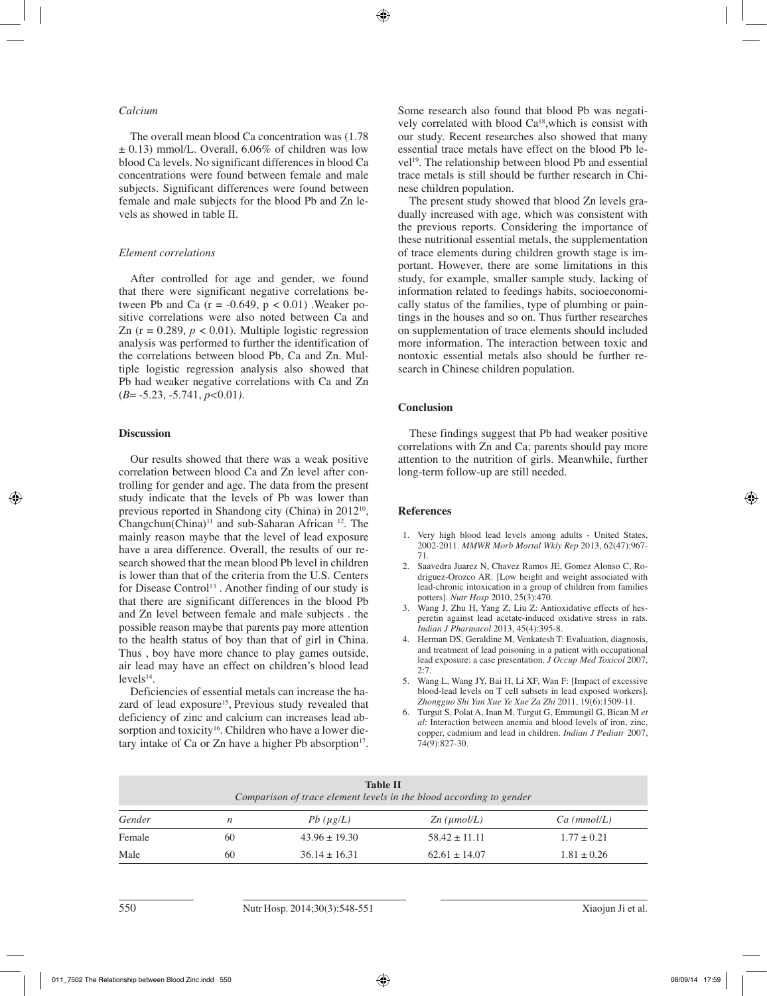# *Calcium*

The overall mean blood Ca concentration was (1.78  $\pm$  0.13) mmol/L. Overall, 6.06% of children was low blood Ca levels. No significant differences in blood Ca concentrations were found between female and male subjects. Significant differences were found between female and male subjects for the blood Pb and Zn levels as showed in table II.

#### *Element correlations*

After controlled for age and gender, we found that there were significant negative correlations between Pb and Ca  $(r = -0.649, p < 0.01)$ . Weaker positive correlations were also noted between Ca and Zn ( $r = 0.289$ ,  $p < 0.01$ ). Multiple logistic regression analysis was performed to further the identification of the correlations between blood Pb, Ca and Zn. Multiple logistic regression analysis also showed that Pb had weaker negative correlations with Ca and Zn (*B*= -5.23, -5.741, *p<*0.01*).*

#### **Discussion**

Our results showed that there was a weak positive correlation between blood Ca and Zn level after controlling for gender and age. The data from the present study indicate that the levels of Pb was lower than previous reported in Shandong city (China) in 2012<sup>10</sup>,  $Changchun(China)^{11}$  and sub-Saharan African  $12$ . The mainly reason maybe that the level of lead exposure have a area difference. Overall, the results of our research showed that the mean blood Pb level in children is lower than that of the criteria from the U.S. Centers for Disease Control<sup>13</sup>. Another finding of our study is that there are significant differences in the blood Pb and Zn level between female and male subjects . the possible reason maybe that parents pay more attention to the health status of boy than that of girl in China. Thus , boy have more chance to play games outside, air lead may have an effect on children's blood lead  $levels^{14}$ .

Deficiencies of essential metals can increase the hazard of lead exposure<sup>15</sup>, Previous study revealed that deficiency of zinc and calcium can increases lead absorption and toxicity<sup>16</sup>. Children who have a lower dietary intake of Ca or Zn have a higher Pb absorption $17$ .

Some research also found that blood Pb was negatively correlated with blood Ca18,which is consist with our study. Recent researches also showed that many essential trace metals have effect on the blood Pb level19. The relationship between blood Pb and essential trace metals is still should be further research in Chinese children population.

The present study showed that blood Zn levels gradually increased with age, which was consistent with the previous reports. Considering the importance of these nutritional essential metals, the supplementation of trace elements during children growth stage is important. However, there are some limitations in this study, for example, smaller sample study, lacking of information related to feedings habits, socioeconomically status of the families, type of plumbing or paintings in the houses and so on. Thus further researches on supplementation of trace elements should included more information. The interaction between toxic and nontoxic essential metals also should be further research in Chinese children population.

#### **Conclusion**

These findings suggest that Pb had weaker positive correlations with Zn and Ca; parents should pay more attention to the nutrition of girls. Meanwhile, further long-term follow-up are still needed.

## **References**

- 1. Very high blood lead levels among adults United States, 2002-2011. *MMWR Morb Mortal Wkly Rep* 2013, 62(47):967- 71.
- 2. Saavedra Juarez N, Chavez Ramos JE, Gomez Alonso C, Rodriguez-Orozco AR: [Low height and weight associated with lead-chronic intoxication in a group of children from families potters]. *Nutr Hosp* 2010, 25(3):470.
- 3. Wang J, Zhu H, Yang Z, Liu Z: Antioxidative effects of hesperetin against lead acetate-induced oxidative stress in rats. *Indian J Pharmacol* 2013, 45(4):395-8.
- 4. Herman DS, Geraldine M, Venkatesh T: Evaluation, diagnosis, and treatment of lead poisoning in a patient with occupational lead exposure: a case presentation. *J Occup Med Toxicol* 2007,  $2.7$
- 5. Wang L, Wang JY, Bai H, Li XF, Wan F: [Impact of excessive blood-lead levels on T cell subsets in lead exposed workers]. *Zhongguo Shi Yan Xue Ye Xue Za Zhi* 2011, 19(6):1509-11.
- 6. Turgut S, Polat A, Inan M, Turgut G, Emmungil G, Bican M *et al*: Interaction between anemia and blood levels of iron, zinc, copper, cadmium and lead in children. *Indian J Pediatr* 2007, 74(9):827-30.

| <b>Table II</b><br>Comparison of trace element levels in the blood according to gender |    |                   |                     |                 |  |  |
|----------------------------------------------------------------------------------------|----|-------------------|---------------------|-----------------|--|--|
| Gender                                                                                 | n  | $Pb(\mu g/L)$     | $Zn$ ( $\mu$ mol/L) | Ca (mmol/L)     |  |  |
| Female                                                                                 | 60 | $43.96 \pm 19.30$ | $58.42 \pm 11.11$   | $1.77 \pm 0.21$ |  |  |
| Male                                                                                   | 60 | $36.14 \pm 16.31$ | $62.61 \pm 14.07$   | $1.81 \pm 0.26$ |  |  |